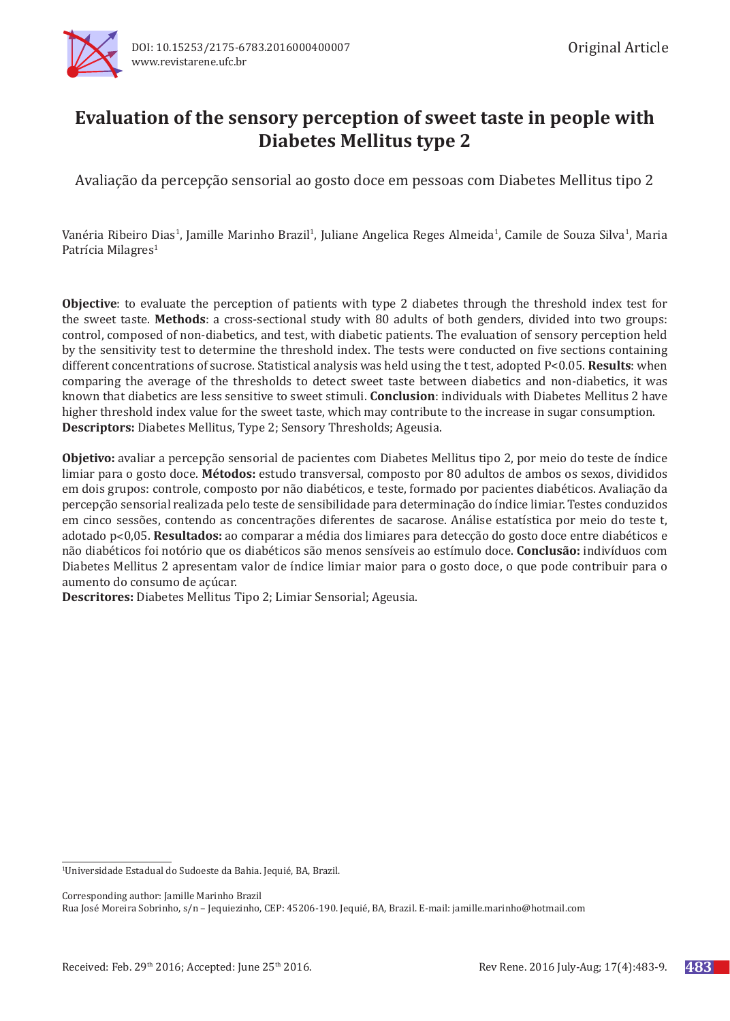

# **Evaluation of the sensory perception of sweet taste in people with Diabetes Mellitus type 2**

Avaliação da percepção sensorial ao gosto doce em pessoas com Diabetes Mellitus tipo 2

Vanéria Ribeiro Dias<sup>1</sup>, Jamille Marinho Brazil<sup>1</sup>, Juliane Angelica Reges Almeida<sup>1</sup>, Camile de Souza Silva<sup>1</sup>, Maria Patrícia Milagres<sup>1</sup>

**Objective**: to evaluate the perception of patients with type 2 diabetes through the threshold index test for the sweet taste. **Methods**: a cross-sectional study with 80 adults of both genders, divided into two groups: control, composed of non-diabetics, and test, with diabetic patients. The evaluation of sensory perception held by the sensitivity test to determine the threshold index. The tests were conducted on five sections containing different concentrations of sucrose. Statistical analysis was held using the t test, adopted P<0.05. **Results**: when comparing the average of the thresholds to detect sweet taste between diabetics and non-diabetics, it was known that diabetics are less sensitive to sweet stimuli. **Conclusion**: individuals with Diabetes Mellitus 2 have higher threshold index value for the sweet taste, which may contribute to the increase in sugar consumption. **Descriptors:** Diabetes Mellitus, Type 2; Sensory Thresholds; Ageusia.

**Objetivo:** avaliar a percepção sensorial de pacientes com Diabetes Mellitus tipo 2, por meio do teste de índice limiar para o gosto doce. **Métodos:** estudo transversal, composto por 80 adultos de ambos os sexos, divididos em dois grupos: controle, composto por não diabéticos, e teste, formado por pacientes diabéticos. Avaliação da percepção sensorial realizada pelo teste de sensibilidade para determinação do índice limiar. Testes conduzidos em cinco sessões, contendo as concentrações diferentes de sacarose. Análise estatística por meio do teste t, adotado p˂0,05. **Resultados:** ao comparar a média dos limiares para detecção do gosto doce entre diabéticos e não diabéticos foi notório que os diabéticos são menos sensíveis ao estímulo doce. **Conclusão:** indivíduos com Diabetes Mellitus 2 apresentam valor de índice limiar maior para o gosto doce, o que pode contribuir para o aumento do consumo de açúcar.

**Descritores:** Diabetes Mellitus Tipo 2; Limiar Sensorial; Ageusia.

Corresponding author: Jamille Marinho Brazil

Rua José Moreira Sobrinho, s/n – Jequiezinho, CEP: 45206-190. Jequié, BA, Brazil. E-mail: jamille.marinho@hotmail.com

<sup>1</sup> Universidade Estadual do Sudoeste da Bahia. Jequié, BA, Brazil.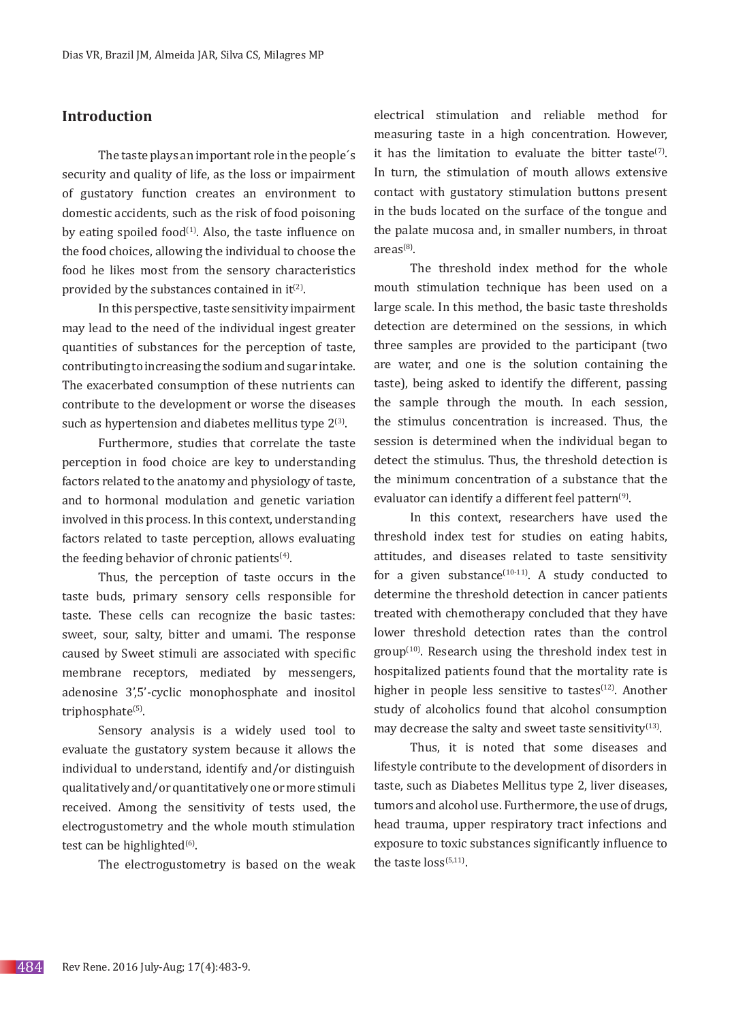# **Introduction**

The taste plays an important role in the people´s security and quality of life, as the loss or impairment of gustatory function creates an environment to domestic accidents, such as the risk of food poisoning by eating spoiled food $(1)$ . Also, the taste influence on the food choices, allowing the individual to choose the food he likes most from the sensory characteristics provided by the substances contained in  $it^{(2)}$ .

In this perspective, taste sensitivity impairment may lead to the need of the individual ingest greater quantities of substances for the perception of taste, contributing to increasing the sodium and sugar intake. The exacerbated consumption of these nutrients can contribute to the development or worse the diseases such as hypertension and diabetes mellitus type  $2^{(3)}$ .

Furthermore, studies that correlate the taste perception in food choice are key to understanding factors related to the anatomy and physiology of taste, and to hormonal modulation and genetic variation involved in this process. In this context, understanding factors related to taste perception, allows evaluating the feeding behavior of chronic patients<sup>(4)</sup>.

Thus, the perception of taste occurs in the taste buds, primary sensory cells responsible for taste. These cells can recognize the basic tastes: sweet, sour, salty, bitter and umami. The response caused by Sweet stimuli are associated with specific membrane receptors, mediated by messengers, adenosine 3',5'-cyclic monophosphate and inositol triphosphate<sup>(5)</sup>.

Sensory analysis is a widely used tool to evaluate the gustatory system because it allows the individual to understand, identify and/or distinguish qualitatively and/or quantitatively one or more stimuli received. Among the sensitivity of tests used, the electrogustometry and the whole mouth stimulation test can be highlighted $(6)$ .

The electrogustometry is based on the weak

electrical stimulation and reliable method for measuring taste in a high concentration. However, it has the limitation to evaluate the bitter taste<sup>(7)</sup>. In turn, the stimulation of mouth allows extensive contact with gustatory stimulation buttons present in the buds located on the surface of the tongue and the palate mucosa and, in smaller numbers, in throat  $area<sup>(8)</sup>$ 

The threshold index method for the whole mouth stimulation technique has been used on a large scale. In this method, the basic taste thresholds detection are determined on the sessions, in which three samples are provided to the participant (two are water, and one is the solution containing the taste), being asked to identify the different, passing the sample through the mouth. In each session, the stimulus concentration is increased. Thus, the session is determined when the individual began to detect the stimulus. Thus, the threshold detection is the minimum concentration of a substance that the evaluator can identify a different feel pattern<sup>(9)</sup>.

In this context, researchers have used the threshold index test for studies on eating habits, attitudes, and diseases related to taste sensitivity for a given substance $(10-11)$ . A study conducted to determine the threshold detection in cancer patients treated with chemotherapy concluded that they have lower threshold detection rates than the control  $group<sup>(10)</sup>$ . Research using the threshold index test in hospitalized patients found that the mortality rate is higher in people less sensitive to tastes $(12)$ . Another study of alcoholics found that alcohol consumption may decrease the salty and sweet taste sensitivity $(13)$ .

Thus, it is noted that some diseases and lifestyle contribute to the development of disorders in taste, such as Diabetes Mellitus type 2, liver diseases, tumors and alcohol use. Furthermore, the use of drugs, head trauma, upper respiratory tract infections and exposure to toxic substances significantly influence to the taste  $loss^{(5,11)}$ .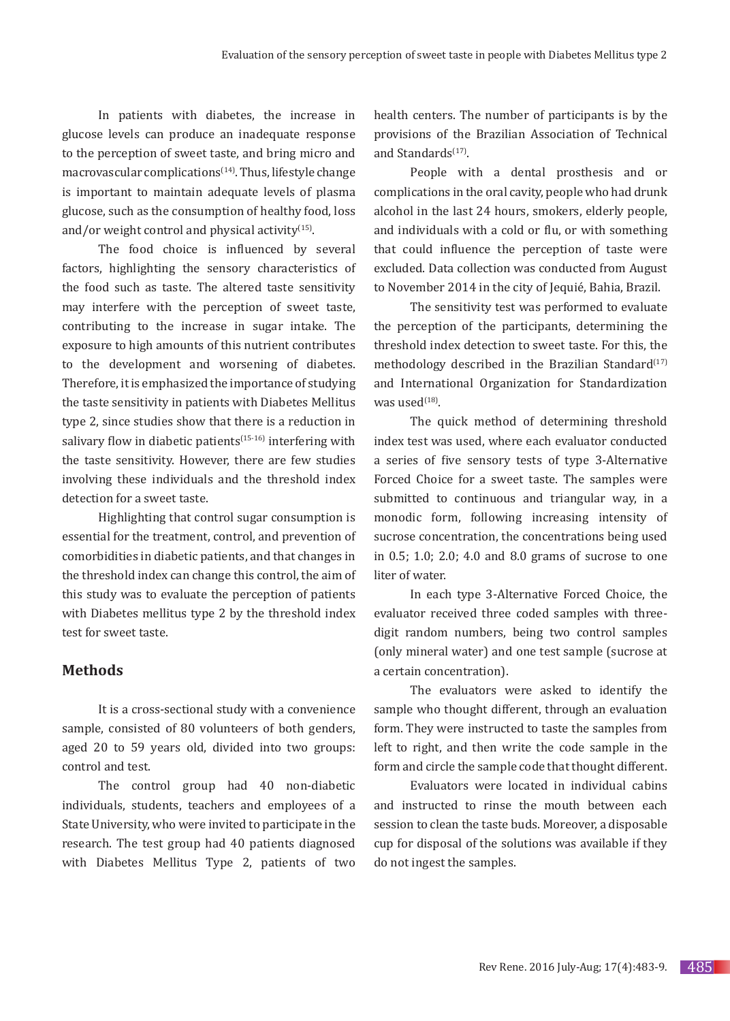In patients with diabetes, the increase in glucose levels can produce an inadequate response to the perception of sweet taste, and bring micro and macrovascular complications $(14)$ . Thus, lifestyle change is important to maintain adequate levels of plasma glucose, such as the consumption of healthy food, loss and/or weight control and physical activity $(15)$ .

The food choice is influenced by several factors, highlighting the sensory characteristics of the food such as taste. The altered taste sensitivity may interfere with the perception of sweet taste, contributing to the increase in sugar intake. The exposure to high amounts of this nutrient contributes to the development and worsening of diabetes. Therefore, it is emphasized the importance of studying the taste sensitivity in patients with Diabetes Mellitus type 2, since studies show that there is a reduction in salivary flow in diabetic patients<sup> $(15-16)$ </sup> interfering with the taste sensitivity. However, there are few studies involving these individuals and the threshold index detection for a sweet taste.

Highlighting that control sugar consumption is essential for the treatment, control, and prevention of comorbidities in diabetic patients, and that changes in the threshold index can change this control, the aim of this study was to evaluate the perception of patients with Diabetes mellitus type 2 by the threshold index test for sweet taste.

#### **Methods**

It is a cross-sectional study with a convenience sample, consisted of 80 volunteers of both genders, aged 20 to 59 years old, divided into two groups: control and test.

The control group had 40 non-diabetic individuals, students, teachers and employees of a State University, who were invited to participate in the research. The test group had 40 patients diagnosed with Diabetes Mellitus Type 2, patients of two health centers. The number of participants is by the provisions of the Brazilian Association of Technical and Standards<sup>(17)</sup>.

People with a dental prosthesis and or complications in the oral cavity, people who had drunk alcohol in the last 24 hours, smokers, elderly people, and individuals with a cold or flu, or with something that could influence the perception of taste were excluded. Data collection was conducted from August to November 2014 in the city of Jequié, Bahia, Brazil.

The sensitivity test was performed to evaluate the perception of the participants, determining the threshold index detection to sweet taste. For this, the methodology described in the Brazilian Standard $(17)$ and International Organization for Standardization was used $(18)$ 

The quick method of determining threshold index test was used, where each evaluator conducted a series of five sensory tests of type 3-Alternative Forced Choice for a sweet taste. The samples were submitted to continuous and triangular way, in a monodic form, following increasing intensity of sucrose concentration, the concentrations being used in 0.5; 1.0; 2.0; 4.0 and 8.0 grams of sucrose to one liter of water.

In each type 3-Alternative Forced Choice, the evaluator received three coded samples with threedigit random numbers, being two control samples (only mineral water) and one test sample (sucrose at a certain concentration).

The evaluators were asked to identify the sample who thought different, through an evaluation form. They were instructed to taste the samples from left to right, and then write the code sample in the form and circle the sample code that thought different.

Evaluators were located in individual cabins and instructed to rinse the mouth between each session to clean the taste buds. Moreover, a disposable cup for disposal of the solutions was available if they do not ingest the samples.

485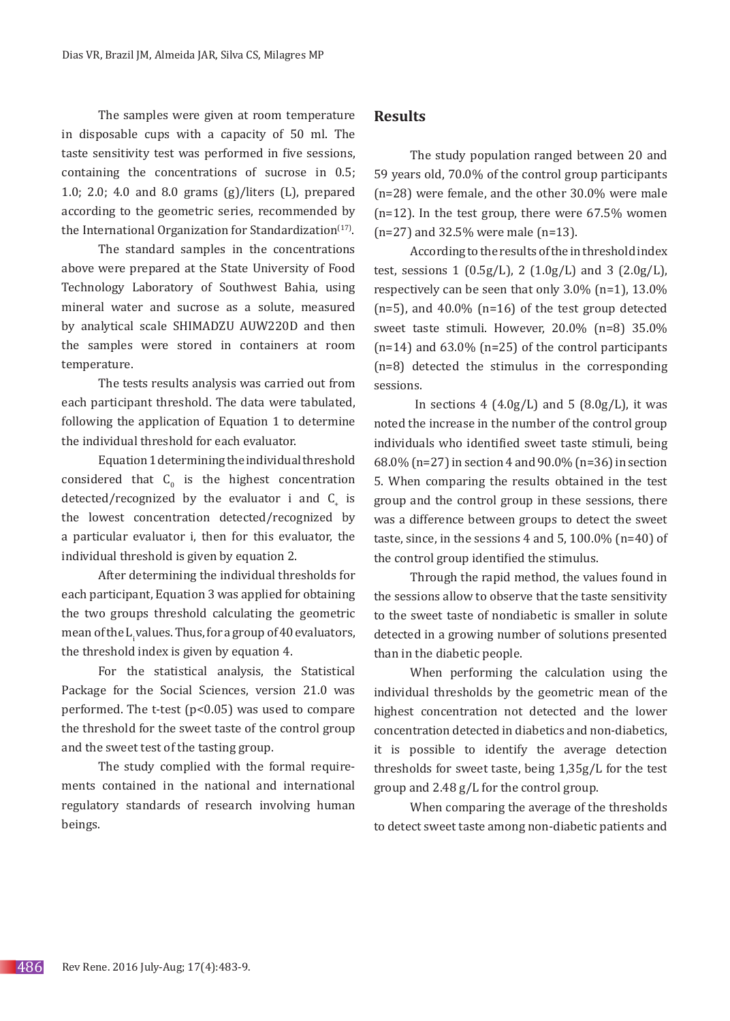The samples were given at room temperature in disposable cups with a capacity of 50 ml. The taste sensitivity test was performed in five sessions, containing the concentrations of sucrose in 0.5; 1.0; 2.0; 4.0 and 8.0 grams (g)/liters (L), prepared according to the geometric series, recommended by the International Organization for Standardization $(17)$ .

The standard samples in the concentrations above were prepared at the State University of Food Technology Laboratory of Southwest Bahia, using mineral water and sucrose as a solute, measured by analytical scale SHIMADZU AUW220D and then the samples were stored in containers at room temperature.

The tests results analysis was carried out from each participant threshold. The data were tabulated, following the application of Equation 1 to determine the individual threshold for each evaluator.

Equation 1 determining the individual threshold considered that  $C_0$  is the highest concentration detected/recognized by the evaluator  $i$  and  $C_{+}$  is the lowest concentration detected/recognized by a particular evaluator i, then for this evaluator, the individual threshold is given by equation 2.

After determining the individual thresholds for each participant, Equation 3 was applied for obtaining the two groups threshold calculating the geometric mean of the L<sub>i</sub>values. Thus, for a group of 40 evaluators, the threshold index is given by equation 4.

For the statistical analysis, the Statistical Package for the Social Sciences, version 21.0 was performed. The t-test  $(p<0.05)$  was used to compare the threshold for the sweet taste of the control group and the sweet test of the tasting group.

The study complied with the formal requirements contained in the national and international regulatory standards of research involving human beings.

# **Results**

The study population ranged between 20 and 59 years old, 70.0% of the control group participants (n=28) were female, and the other 30.0% were male  $(n=12)$ . In the test group, there were 67.5% women (n=27) and 32.5% were male (n=13).

According to the results of the in threshold index test, sessions 1  $(0.5g/L)$ , 2  $(1.0g/L)$  and 3  $(2.0g/L)$ , respectively can be seen that only 3.0% (n=1), 13.0%  $(n=5)$ , and 40.0%  $(n=16)$  of the test group detected sweet taste stimuli. However, 20.0% (n=8) 35.0%  $(n=14)$  and 63.0%  $(n=25)$  of the control participants (n=8) detected the stimulus in the corresponding sessions.

In sections  $4 \left(4.0 \frac{g}{L}\right)$  and  $5 \left(8.0 \frac{g}{L}\right)$ , it was noted the increase in the number of the control group individuals who identified sweet taste stimuli, being 68.0% (n=27) in section 4 and 90.0% (n=36) in section 5. When comparing the results obtained in the test group and the control group in these sessions, there was a difference between groups to detect the sweet taste, since, in the sessions  $4$  and  $5$ ,  $100.0\%$  (n=40) of the control group identified the stimulus.

Through the rapid method, the values found in the sessions allow to observe that the taste sensitivity to the sweet taste of nondiabetic is smaller in solute detected in a growing number of solutions presented than in the diabetic people.

When performing the calculation using the individual thresholds by the geometric mean of the highest concentration not detected and the lower concentration detected in diabetics and non-diabetics, it is possible to identify the average detection thresholds for sweet taste, being 1,35g/L for the test group and 2.48 g/L for the control group.

When comparing the average of the thresholds to detect sweet taste among non-diabetic patients and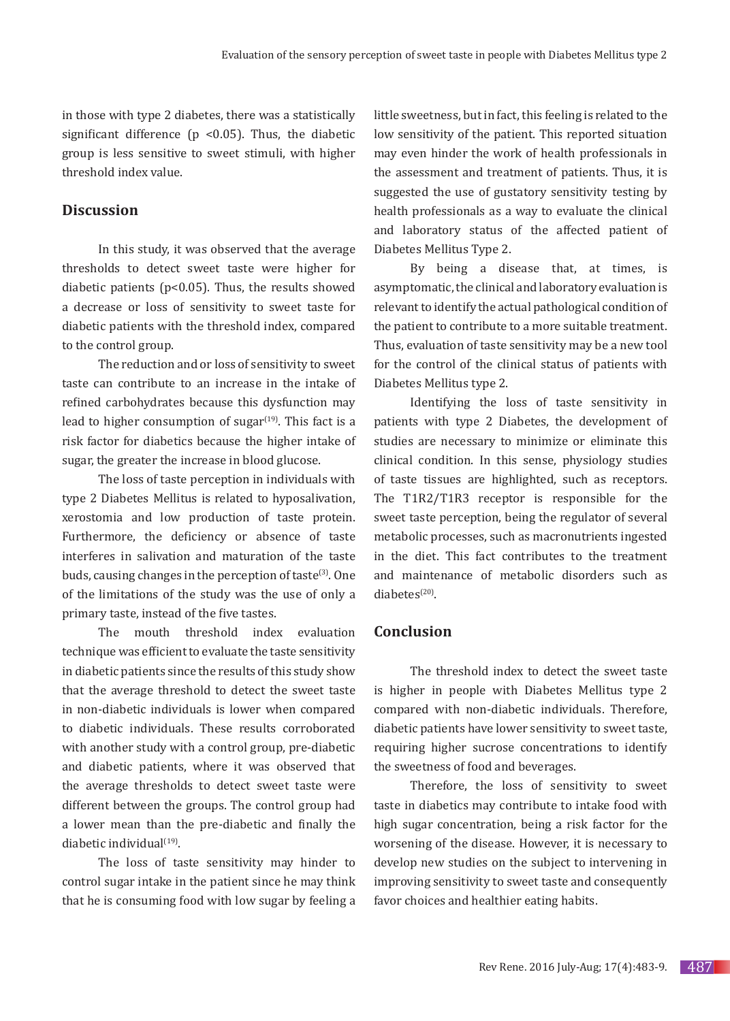in those with type 2 diabetes, there was a statistically significant difference ( $p \le 0.05$ ). Thus, the diabetic group is less sensitive to sweet stimuli, with higher threshold index value.

# **Discussion**

In this study, it was observed that the average thresholds to detect sweet taste were higher for diabetic patients ( $p<0.05$ ). Thus, the results showed a decrease or loss of sensitivity to sweet taste for diabetic patients with the threshold index, compared to the control group.

The reduction and or loss of sensitivity to sweet taste can contribute to an increase in the intake of refined carbohydrates because this dysfunction may lead to higher consumption of sugar $(19)$ . This fact is a risk factor for diabetics because the higher intake of sugar, the greater the increase in blood glucose.

The loss of taste perception in individuals with type 2 Diabetes Mellitus is related to hyposalivation, xerostomia and low production of taste protein. Furthermore, the deficiency or absence of taste interferes in salivation and maturation of the taste buds, causing changes in the perception of taste<sup>(3)</sup>. One of the limitations of the study was the use of only a primary taste, instead of the five tastes.

The mouth threshold index evaluation technique was efficient to evaluate the taste sensitivity in diabetic patients since the results of this study show that the average threshold to detect the sweet taste in non-diabetic individuals is lower when compared to diabetic individuals. These results corroborated with another study with a control group, pre-diabetic and diabetic patients, where it was observed that the average thresholds to detect sweet taste were different between the groups. The control group had a lower mean than the pre-diabetic and finally the diabetic individual $(19)$ .

The loss of taste sensitivity may hinder to control sugar intake in the patient since he may think that he is consuming food with low sugar by feeling a little sweetness, but in fact, this feeling is related to the low sensitivity of the patient. This reported situation may even hinder the work of health professionals in the assessment and treatment of patients. Thus, it is suggested the use of gustatory sensitivity testing by health professionals as a way to evaluate the clinical and laboratory status of the affected patient of Diabetes Mellitus Type 2.

By being a disease that, at times, is asymptomatic, the clinical and laboratory evaluation is relevant to identify the actual pathological condition of the patient to contribute to a more suitable treatment. Thus, evaluation of taste sensitivity may be a new tool for the control of the clinical status of patients with Diabetes Mellitus type 2.

Identifying the loss of taste sensitivity in patients with type 2 Diabetes, the development of studies are necessary to minimize or eliminate this clinical condition. In this sense, physiology studies of taste tissues are highlighted, such as receptors. The T1R2/T1R3 receptor is responsible for the sweet taste perception, being the regulator of several metabolic processes, such as macronutrients ingested in the diet. This fact contributes to the treatment and maintenance of metabolic disorders such as  $diabetes<sup>(20)</sup>$ .

#### **Conclusion**

The threshold index to detect the sweet taste is higher in people with Diabetes Mellitus type 2 compared with non-diabetic individuals. Therefore, diabetic patients have lower sensitivity to sweet taste, requiring higher sucrose concentrations to identify the sweetness of food and beverages.

Therefore, the loss of sensitivity to sweet taste in diabetics may contribute to intake food with high sugar concentration, being a risk factor for the worsening of the disease. However, it is necessary to develop new studies on the subject to intervening in improving sensitivity to sweet taste and consequently favor choices and healthier eating habits.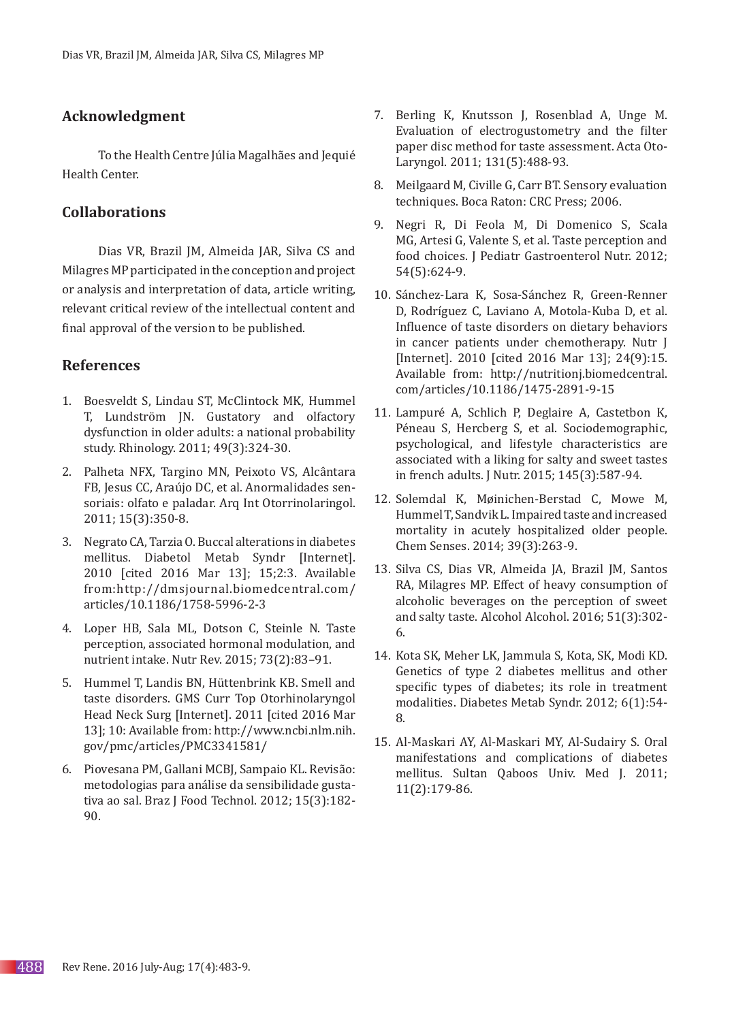# **Acknowledgment**

To the Health Centre Júlia Magalhães and Jequié Health Center.

# **Collaborations**

Dias VR, Brazil JM, Almeida JAR, Silva CS and Milagres MP participated in the conception and project or analysis and interpretation of data, article writing, relevant critical review of the intellectual content and final approval of the version to be published.

## **References**

- 1. Boesveldt S, Lindau ST, McClintock MK, Hummel T, Lundström JN. Gustatory and olfactory dysfunction in older adults: a national probability study. Rhinology. 2011; 49(3):324-30.
- 2. Palheta NFX, Targino MN, Peixoto VS, Alcântara FB, Jesus CC, Araújo DC, et al. Anormalidades sensoriais: olfato e paladar. Arq Int Otorrinolaringol. 2011; 15(3):350-8.
- 3. Negrato CA, Tarzia O. Buccal alterations in diabetes mellitus. Diabetol Metab Syndr [Internet]. 2010 [cited 2016 Mar 13]; 15;2:3. Available from:http://dmsjournal.biomedcentral.com/ articles/10.1186/1758-5996-2-3
- 4. Loper HB, Sala ML, Dotson C, Steinle N. Taste perception, associated hormonal modulation, and nutrient intake. Nutr Rev. 2015; 73(2):83–91.
- 5. Hummel T, Landis BN, Hüttenbrink KB. Smell and taste disorders. GMS Curr Top Otorhinolaryngol Head Neck Surg [Internet]. 2011 [cited 2016 Mar 13]; 10: Available from: http://www.ncbi.nlm.nih. gov/pmc/articles/PMC3341581/
- 6. Piovesana PM, Gallani MCBJ, Sampaio KL. Revisão: metodologias para análise da sensibilidade gustativa ao sal. Braz J Food Technol. 2012; 15(3):182- 90.
- 7. Berling K, Knutsson J, Rosenblad A, Unge M. Evaluation of electrogustometry and the filter paper disc method for taste assessment. Acta Oto-Laryngol. 2011; 131(5):488-93.
- 8. Meilgaard M, Civille G, Carr BT. Sensory evaluation techniques. Boca Raton: CRC Press; 2006.
- 9. Negri R, Di Feola M, Di Domenico S, Scala MG, Artesi G, Valente S, et al. Taste perception and food choices. J Pediatr Gastroenterol Nutr. 2012; 54(5):624-9.
- 10. Sánchez-Lara K, Sosa-Sánchez R, Green-Renner D, Rodríguez C, Laviano A, Motola-Kuba D, et al. Influence of taste disorders on dietary behaviors in cancer patients under chemotherapy. Nutr J [Internet]. 2010 [cited 2016 Mar 13]; 24(9):15. Available from: http://nutritionj.biomedcentral. com/articles/10.1186/1475-2891-9-15
- 11. Lampuré A, Schlich P, Deglaire A, Castetbon K, Péneau S, Hercberg S, et al. Sociodemographic, psychological, and lifestyle characteristics are associated with a liking for salty and sweet tastes in french adults. J Nutr. 2015; 145(3):587-94.
- 12. Solemdal K, Møinichen-Berstad C, Mowe M, Hummel T, Sandvik L. Impaired taste and increased mortality in acutely hospitalized older people. Chem Senses. 2014; 39(3):263-9.
- 13. Silva CS, Dias VR, Almeida JA, Brazil JM, Santos RA, Milagres MP. Effect of heavy consumption of alcoholic beverages on the perception of sweet and salty taste. Alcohol Alcohol. 2016; 51(3):302- 6.
- 14. Kota SK, Meher LK, Jammula S, Kota, SK, Modi KD. Genetics of type 2 diabetes mellitus and other specific types of diabetes; its role in treatment modalities. Diabetes Metab Syndr. 2012; 6(1):54- 8.
- 15. Al-Maskari AY, Al-Maskari MY, Al-Sudairy S. Oral manifestations and complications of diabetes mellitus. Sultan Qaboos Univ. Med J. 2011; 11(2):179-86.